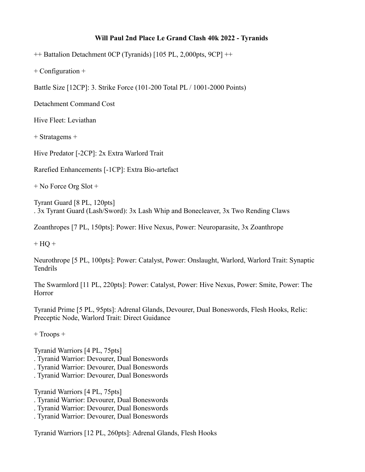## **Will Paul 2nd Place Le Grand Clash 40k 2022 - Tyranids**

++ Battalion Detachment 0CP (Tyranids) [105 PL, 2,000pts, 9CP] ++

+ Configuration +

Battle Size [12CP]: 3. Strike Force (101-200 Total PL / 1001-2000 Points)

Detachment Command Cost

Hive Fleet: Leviathan

+ Stratagems +

Hive Predator [-2CP]: 2x Extra Warlord Trait

Rarefied Enhancements [-1CP]: Extra Bio-artefact

+ No Force Org Slot +

Tyrant Guard [8 PL, 120pts] . 3x Tyrant Guard (Lash/Sword): 3x Lash Whip and Bonecleaver, 3x Two Rending Claws

Zoanthropes [7 PL, 150pts]: Power: Hive Nexus, Power: Neuroparasite, 3x Zoanthrope

 $+ HO +$ 

Neurothrope [5 PL, 100pts]: Power: Catalyst, Power: Onslaught, Warlord, Warlord Trait: Synaptic Tendrils

The Swarmlord [11 PL, 220pts]: Power: Catalyst, Power: Hive Nexus, Power: Smite, Power: The Horror

Tyranid Prime [5 PL, 95pts]: Adrenal Glands, Devourer, Dual Boneswords, Flesh Hooks, Relic: Preceptic Node, Warlord Trait: Direct Guidance

+ Troops +

Tyranid Warriors [4 PL, 75pts] . Tyranid Warrior: Devourer, Dual Boneswords . Tyranid Warrior: Devourer, Dual Boneswords

. Tyranid Warrior: Devourer, Dual Boneswords

Tyranid Warriors [4 PL, 75pts]

. Tyranid Warrior: Devourer, Dual Boneswords

. Tyranid Warrior: Devourer, Dual Boneswords

. Tyranid Warrior: Devourer, Dual Boneswords

Tyranid Warriors [12 PL, 260pts]: Adrenal Glands, Flesh Hooks